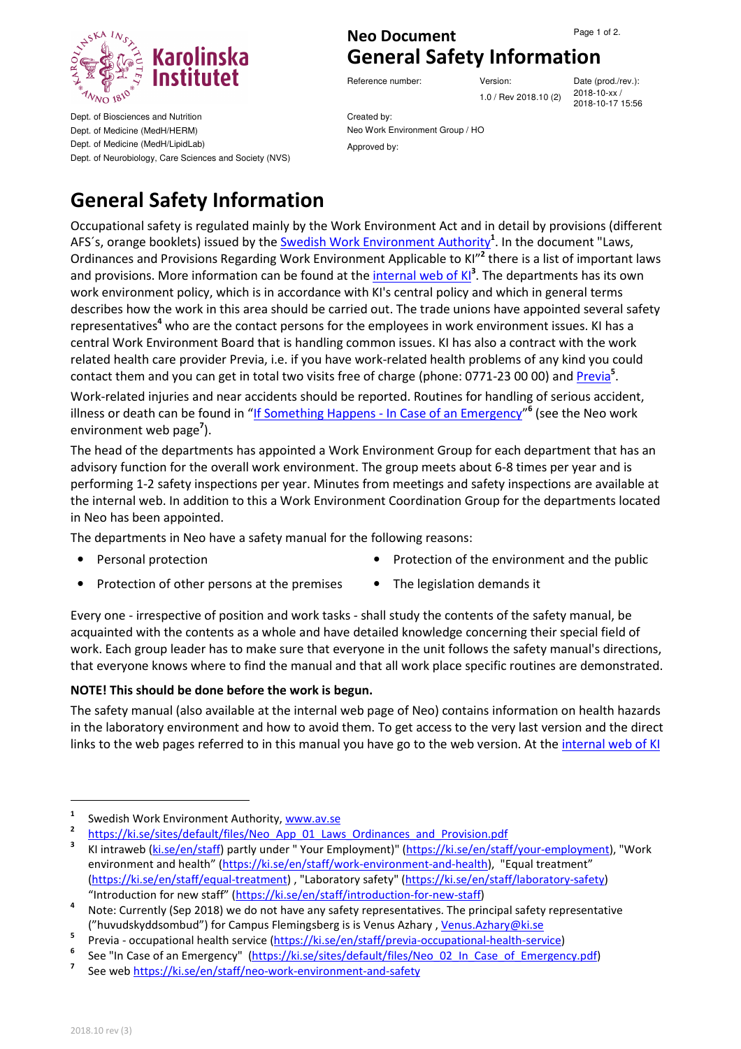

Dept. of Biosciences and Nutrition Dept. of Medicine (MedH/HERM) Dept. of Medicine (MedH/LipidLab) Dept. of Neurobiology, Care Sciences and Society (NVS)

## **Neo Document** Page 1 of 2. **General Safety Information**

Reference number: Version: Version: Date (prod./rev.):

1.0 / Rev 2018.10 (2) 2018-10-xx /

2018-10-17 15:56

Created by: Neo Work Environment Group / HO Approved by:

## **General Safety Information**

Occupational safety is regulated mainly by the Work Environment Act and in detail by provisions (different AFS's, orange booklets) issued by the **Swedish Work Environment Authority<sup>1</sup>.** In the document "Laws, Ordinances and Provisions Regarding Work Environment Applicable to KI<sup>n2</sup> there is a list of important laws and provisions. More information can be found at the *internal web of KI*<sup>3</sup>. The departments has its own work environment policy, which is in accordance with KI's central policy and which in general terms describes how the work in this area should be carried out. The trade unions have appointed several safety representatives<sup>4</sup> who are the contact persons for the employees in work environment issues. KI has a central Work Environment Board that is handling common issues. KI has also a contract with the work related health care provider Previa, i.e. if you have work-related health problems of any kind you could contact them and you can get in total two visits free of charge (phone: 0771-23 00 00) and *Previa*<sup>5</sup>. Work-related injuries and near accidents should be reported. Routines for handling of serious accident, illness or death can be found in "If Something Happens - In Case of an Emergency"<sup>6</sup> (see the Neo work

environment web page**<sup>7</sup>** ).

The head of the departments has appointed a Work Environment Group for each department that has an advisory function for the overall work environment. The group meets about 6-8 times per year and is performing 1-2 safety inspections per year. Minutes from meetings and safety inspections are available at the internal web. In addition to this a Work Environment Coordination Group for the departments located in Neo has been appointed.

The departments in Neo have a safety manual for the following reasons:

- 
- **Personal protection Protection Protection of the environment and the public**
- Protection of other persons at the premises The legislation demands it
- 

Every one - irrespective of position and work tasks - shall study the contents of the safety manual, be acquainted with the contents as a whole and have detailed knowledge concerning their special field of work. Each group leader has to make sure that everyone in the unit follows the safety manual's directions, that everyone knows where to find the manual and that all work place specific routines are demonstrated.

## **NOTE! This should be done before the work is begun.**

The safety manual (also available at the internal web page of Neo) contains information on health hazards in the laboratory environment and how to avoid them. To get access to the very last version and the direct links to the web pages referred to in this manual you have go to the web version. At the internal web of KI

 $\overline{a}$ 

**<sup>1</sup>** Swedish Work Environment Authority, www.av.se

**<sup>2</sup>** https://ki.se/sites/default/files/Neo\_App\_01\_Laws\_Ordinances\_and\_Provision.pdf

**<sup>3</sup>** KI intraweb (ki.se/en/staff) partly under " Your Employment)" (https://ki.se/en/staff/your-employment), "Work environment and health" (https://ki.se/en/staff/work-environment-and-health), "Equal treatment" (https://ki.se/en/staff/equal-treatment) , "Laboratory safety" (https://ki.se/en/staff/laboratory-safety) "Introduction for new staff" (https://ki.se/en/staff/introduction-for-new-staff)

**<sup>4</sup>** Note: Currently (Sep 2018) we do not have any safety representatives. The principal safety representative ("huvudskyddsombud") for Campus Flemingsberg is is Venus Azhary, Venus.Azhary@ki.se

**<sup>5</sup>** Previa - occupational health service (https://ki.se/en/staff/previa-occupational-health-service)

**<sup>6</sup>** See "In Case of an Emergency" (https://ki.se/sites/default/files/Neo\_02\_In\_Case\_of\_Emergency.pdf)

**<sup>7</sup>** See web https://ki.se/en/staff/neo-work-environment-and-safety